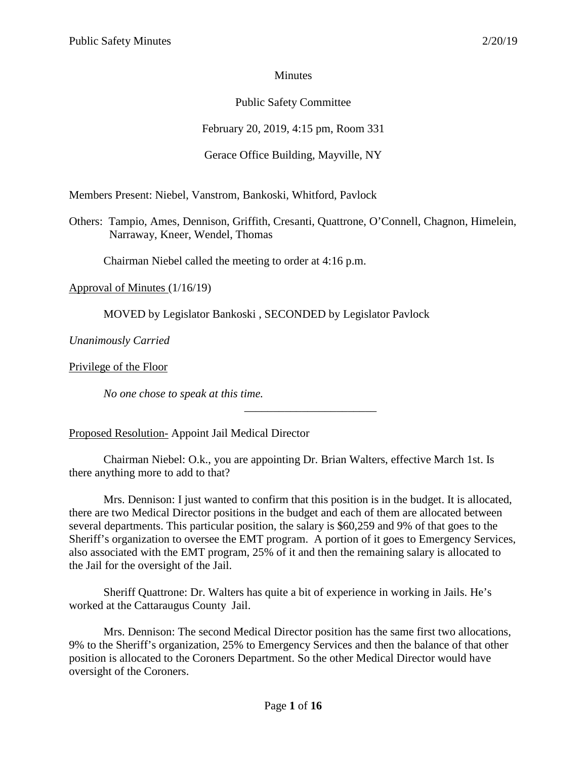## **Minutes**

# Public Safety Committee

February 20, 2019, 4:15 pm, Room 331

## Gerace Office Building, Mayville, NY

Members Present: Niebel, Vanstrom, Bankoski, Whitford, Pavlock

Others: Tampio, Ames, Dennison, Griffith, Cresanti, Quattrone, O'Connell, Chagnon, Himelein, Narraway, Kneer, Wendel, Thomas

Chairman Niebel called the meeting to order at 4:16 p.m.

Approval of Minutes (1/16/19)

MOVED by Legislator Bankoski , SECONDED by Legislator Pavlock

*Unanimously Carried*

Privilege of the Floor

*No one chose to speak at this time.*

Proposed Resolution- Appoint Jail Medical Director

Chairman Niebel: O.k., you are appointing Dr. Brian Walters, effective March 1st. Is there anything more to add to that?

\_\_\_\_\_\_\_\_\_\_\_\_\_\_\_\_\_\_\_\_\_\_\_

Mrs. Dennison: I just wanted to confirm that this position is in the budget. It is allocated, there are two Medical Director positions in the budget and each of them are allocated between several departments. This particular position, the salary is \$60,259 and 9% of that goes to the Sheriff's organization to oversee the EMT program. A portion of it goes to Emergency Services, also associated with the EMT program, 25% of it and then the remaining salary is allocated to the Jail for the oversight of the Jail.

Sheriff Quattrone: Dr. Walters has quite a bit of experience in working in Jails. He's worked at the Cattaraugus County Jail.

Mrs. Dennison: The second Medical Director position has the same first two allocations, 9% to the Sheriff's organization, 25% to Emergency Services and then the balance of that other position is allocated to the Coroners Department. So the other Medical Director would have oversight of the Coroners.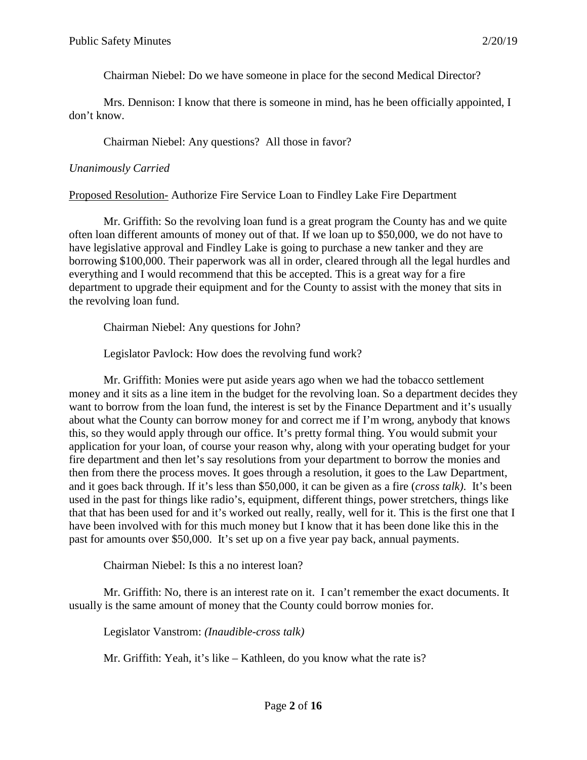Chairman Niebel: Do we have someone in place for the second Medical Director?

Mrs. Dennison: I know that there is someone in mind, has he been officially appointed, I don't know.

Chairman Niebel: Any questions? All those in favor?

### *Unanimously Carried*

Proposed Resolution- Authorize Fire Service Loan to Findley Lake Fire Department

Mr. Griffith: So the revolving loan fund is a great program the County has and we quite often loan different amounts of money out of that. If we loan up to \$50,000, we do not have to have legislative approval and Findley Lake is going to purchase a new tanker and they are borrowing \$100,000. Their paperwork was all in order, cleared through all the legal hurdles and everything and I would recommend that this be accepted. This is a great way for a fire department to upgrade their equipment and for the County to assist with the money that sits in the revolving loan fund.

Chairman Niebel: Any questions for John?

Legislator Pavlock: How does the revolving fund work?

Mr. Griffith: Monies were put aside years ago when we had the tobacco settlement money and it sits as a line item in the budget for the revolving loan. So a department decides they want to borrow from the loan fund, the interest is set by the Finance Department and it's usually about what the County can borrow money for and correct me if I'm wrong, anybody that knows this, so they would apply through our office. It's pretty formal thing. You would submit your application for your loan, of course your reason why, along with your operating budget for your fire department and then let's say resolutions from your department to borrow the monies and then from there the process moves. It goes through a resolution, it goes to the Law Department, and it goes back through. If it's less than \$50,000, it can be given as a fire (*cross talk)*. It's been used in the past for things like radio's, equipment, different things, power stretchers, things like that that has been used for and it's worked out really, really, well for it. This is the first one that I have been involved with for this much money but I know that it has been done like this in the past for amounts over \$50,000. It's set up on a five year pay back, annual payments.

Chairman Niebel: Is this a no interest loan?

Mr. Griffith: No, there is an interest rate on it. I can't remember the exact documents. It usually is the same amount of money that the County could borrow monies for.

Legislator Vanstrom: *(Inaudible-cross talk)*

Mr. Griffith: Yeah, it's like – Kathleen, do you know what the rate is?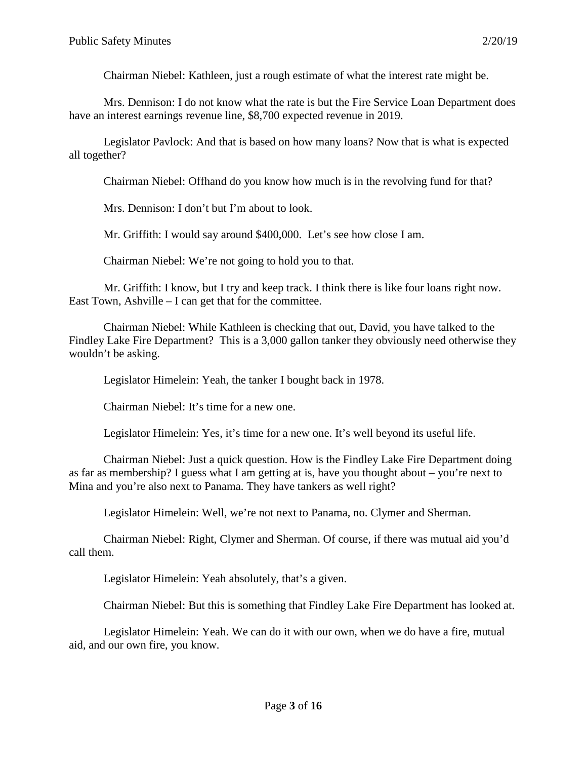Chairman Niebel: Kathleen, just a rough estimate of what the interest rate might be.

Mrs. Dennison: I do not know what the rate is but the Fire Service Loan Department does have an interest earnings revenue line, \$8,700 expected revenue in 2019.

Legislator Pavlock: And that is based on how many loans? Now that is what is expected all together?

Chairman Niebel: Offhand do you know how much is in the revolving fund for that?

Mrs. Dennison: I don't but I'm about to look.

Mr. Griffith: I would say around \$400,000. Let's see how close I am.

Chairman Niebel: We're not going to hold you to that.

Mr. Griffith: I know, but I try and keep track. I think there is like four loans right now. East Town, Ashville – I can get that for the committee.

Chairman Niebel: While Kathleen is checking that out, David, you have talked to the Findley Lake Fire Department? This is a 3,000 gallon tanker they obviously need otherwise they wouldn't be asking.

Legislator Himelein: Yeah, the tanker I bought back in 1978.

Chairman Niebel: It's time for a new one.

Legislator Himelein: Yes, it's time for a new one. It's well beyond its useful life.

Chairman Niebel: Just a quick question. How is the Findley Lake Fire Department doing as far as membership? I guess what I am getting at is, have you thought about – you're next to Mina and you're also next to Panama. They have tankers as well right?

Legislator Himelein: Well, we're not next to Panama, no. Clymer and Sherman.

Chairman Niebel: Right, Clymer and Sherman. Of course, if there was mutual aid you'd call them.

Legislator Himelein: Yeah absolutely, that's a given.

Chairman Niebel: But this is something that Findley Lake Fire Department has looked at.

Legislator Himelein: Yeah. We can do it with our own, when we do have a fire, mutual aid, and our own fire, you know.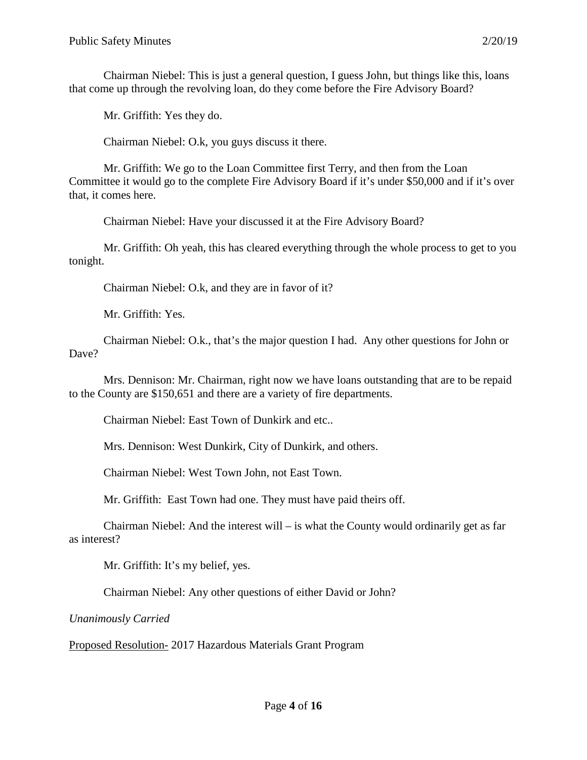Chairman Niebel: This is just a general question, I guess John, but things like this, loans that come up through the revolving loan, do they come before the Fire Advisory Board?

Mr. Griffith: Yes they do.

Chairman Niebel: O.k, you guys discuss it there.

Mr. Griffith: We go to the Loan Committee first Terry, and then from the Loan Committee it would go to the complete Fire Advisory Board if it's under \$50,000 and if it's over that, it comes here.

Chairman Niebel: Have your discussed it at the Fire Advisory Board?

Mr. Griffith: Oh yeah, this has cleared everything through the whole process to get to you tonight.

Chairman Niebel: O.k, and they are in favor of it?

Mr. Griffith: Yes.

Chairman Niebel: O.k., that's the major question I had. Any other questions for John or Dave?

Mrs. Dennison: Mr. Chairman, right now we have loans outstanding that are to be repaid to the County are \$150,651 and there are a variety of fire departments.

Chairman Niebel: East Town of Dunkirk and etc..

Mrs. Dennison: West Dunkirk, City of Dunkirk, and others.

Chairman Niebel: West Town John, not East Town.

Mr. Griffith: East Town had one. They must have paid theirs off.

Chairman Niebel: And the interest will – is what the County would ordinarily get as far as interest?

Mr. Griffith: It's my belief, yes.

Chairman Niebel: Any other questions of either David or John?

*Unanimously Carried*

Proposed Resolution- 2017 Hazardous Materials Grant Program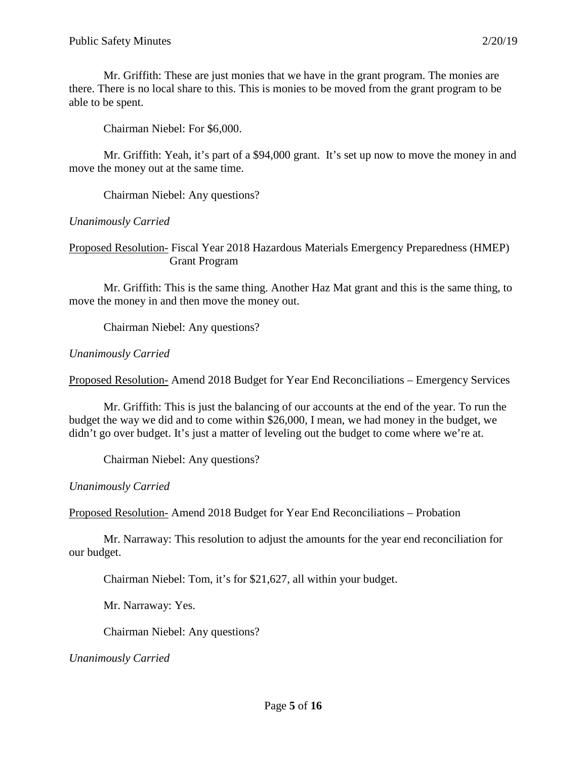Mr. Griffith: These are just monies that we have in the grant program. The monies are there. There is no local share to this. This is monies to be moved from the grant program to be able to be spent.

Chairman Niebel: For \$6,000.

Mr. Griffith: Yeah, it's part of a \$94,000 grant. It's set up now to move the money in and move the money out at the same time.

Chairman Niebel: Any questions?

*Unanimously Carried*

Proposed Resolution- Fiscal Year 2018 Hazardous Materials Emergency Preparedness (HMEP) Grant Program

Mr. Griffith: This is the same thing. Another Haz Mat grant and this is the same thing, to move the money in and then move the money out.

Chairman Niebel: Any questions?

#### *Unanimously Carried*

Proposed Resolution- Amend 2018 Budget for Year End Reconciliations – Emergency Services

Mr. Griffith: This is just the balancing of our accounts at the end of the year. To run the budget the way we did and to come within \$26,000, I mean, we had money in the budget, we didn't go over budget. It's just a matter of leveling out the budget to come where we're at.

Chairman Niebel: Any questions?

*Unanimously Carried*

Proposed Resolution- Amend 2018 Budget for Year End Reconciliations – Probation

Mr. Narraway: This resolution to adjust the amounts for the year end reconciliation for our budget.

Chairman Niebel: Tom, it's for \$21,627, all within your budget.

Mr. Narraway: Yes.

Chairman Niebel: Any questions?

*Unanimously Carried*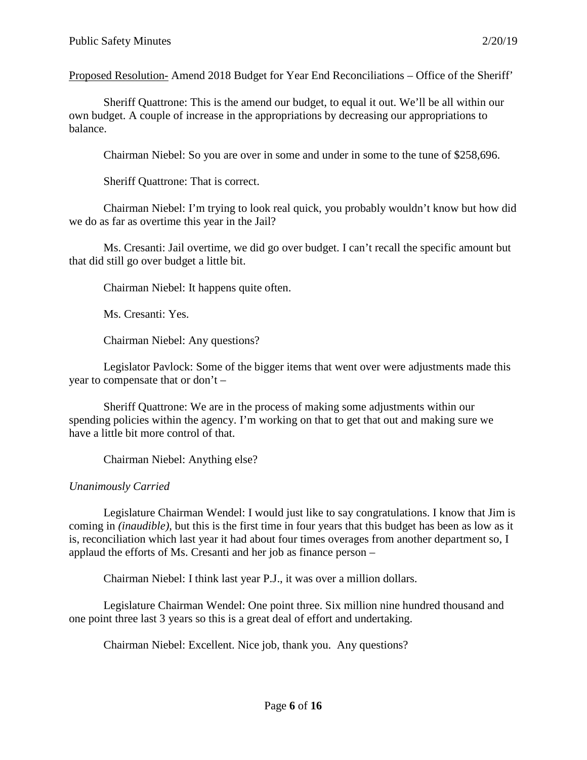Proposed Resolution- Amend 2018 Budget for Year End Reconciliations – Office of the Sheriff'

Sheriff Quattrone: This is the amend our budget, to equal it out. We'll be all within our own budget. A couple of increase in the appropriations by decreasing our appropriations to balance.

Chairman Niebel: So you are over in some and under in some to the tune of \$258,696.

Sheriff Quattrone: That is correct.

Chairman Niebel: I'm trying to look real quick, you probably wouldn't know but how did we do as far as overtime this year in the Jail?

Ms. Cresanti: Jail overtime, we did go over budget. I can't recall the specific amount but that did still go over budget a little bit.

Chairman Niebel: It happens quite often.

Ms. Cresanti: Yes.

Chairman Niebel: Any questions?

Legislator Pavlock: Some of the bigger items that went over were adjustments made this year to compensate that or don't –

Sheriff Quattrone: We are in the process of making some adjustments within our spending policies within the agency. I'm working on that to get that out and making sure we have a little bit more control of that.

Chairman Niebel: Anything else?

# *Unanimously Carried*

Legislature Chairman Wendel: I would just like to say congratulations. I know that Jim is coming in *(inaudible)*, but this is the first time in four years that this budget has been as low as it is, reconciliation which last year it had about four times overages from another department so, I applaud the efforts of Ms. Cresanti and her job as finance person –

Chairman Niebel: I think last year P.J., it was over a million dollars.

Legislature Chairman Wendel: One point three. Six million nine hundred thousand and one point three last 3 years so this is a great deal of effort and undertaking.

Chairman Niebel: Excellent. Nice job, thank you. Any questions?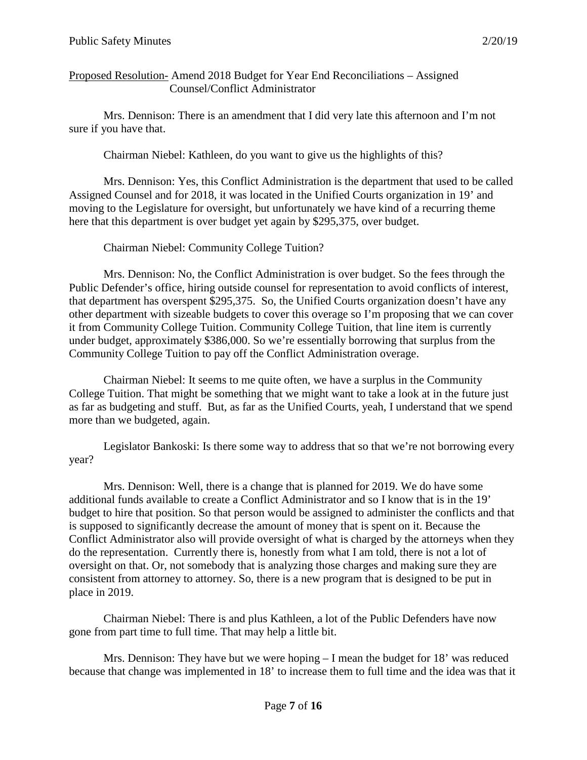## Proposed Resolution- Amend 2018 Budget for Year End Reconciliations – Assigned Counsel/Conflict Administrator

Mrs. Dennison: There is an amendment that I did very late this afternoon and I'm not sure if you have that.

Chairman Niebel: Kathleen, do you want to give us the highlights of this?

Mrs. Dennison: Yes, this Conflict Administration is the department that used to be called Assigned Counsel and for 2018, it was located in the Unified Courts organization in 19' and moving to the Legislature for oversight, but unfortunately we have kind of a recurring theme here that this department is over budget yet again by \$295,375, over budget.

Chairman Niebel: Community College Tuition?

Mrs. Dennison: No, the Conflict Administration is over budget. So the fees through the Public Defender's office, hiring outside counsel for representation to avoid conflicts of interest, that department has overspent \$295,375. So, the Unified Courts organization doesn't have any other department with sizeable budgets to cover this overage so I'm proposing that we can cover it from Community College Tuition. Community College Tuition, that line item is currently under budget, approximately \$386,000. So we're essentially borrowing that surplus from the Community College Tuition to pay off the Conflict Administration overage.

Chairman Niebel: It seems to me quite often, we have a surplus in the Community College Tuition. That might be something that we might want to take a look at in the future just as far as budgeting and stuff. But, as far as the Unified Courts, yeah, I understand that we spend more than we budgeted, again.

Legislator Bankoski: Is there some way to address that so that we're not borrowing every year?

Mrs. Dennison: Well, there is a change that is planned for 2019. We do have some additional funds available to create a Conflict Administrator and so I know that is in the 19' budget to hire that position. So that person would be assigned to administer the conflicts and that is supposed to significantly decrease the amount of money that is spent on it. Because the Conflict Administrator also will provide oversight of what is charged by the attorneys when they do the representation. Currently there is, honestly from what I am told, there is not a lot of oversight on that. Or, not somebody that is analyzing those charges and making sure they are consistent from attorney to attorney. So, there is a new program that is designed to be put in place in 2019.

Chairman Niebel: There is and plus Kathleen, a lot of the Public Defenders have now gone from part time to full time. That may help a little bit.

Mrs. Dennison: They have but we were hoping  $-1$  mean the budget for 18' was reduced because that change was implemented in 18' to increase them to full time and the idea was that it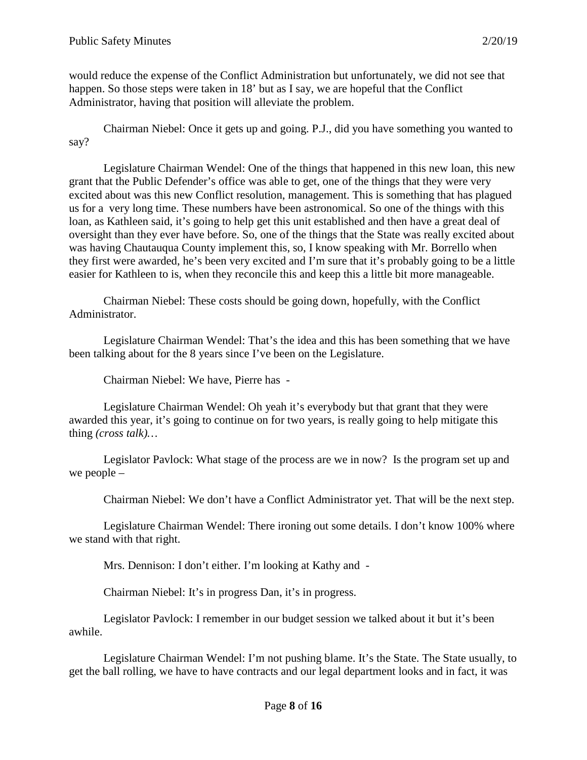would reduce the expense of the Conflict Administration but unfortunately, we did not see that happen. So those steps were taken in 18' but as I say, we are hopeful that the Conflict Administrator, having that position will alleviate the problem.

Chairman Niebel: Once it gets up and going. P.J., did you have something you wanted to say?

Legislature Chairman Wendel: One of the things that happened in this new loan, this new grant that the Public Defender's office was able to get, one of the things that they were very excited about was this new Conflict resolution, management. This is something that has plagued us for a very long time. These numbers have been astronomical. So one of the things with this loan, as Kathleen said, it's going to help get this unit established and then have a great deal of oversight than they ever have before. So, one of the things that the State was really excited about was having Chautauqua County implement this, so, I know speaking with Mr. Borrello when they first were awarded, he's been very excited and I'm sure that it's probably going to be a little easier for Kathleen to is, when they reconcile this and keep this a little bit more manageable.

Chairman Niebel: These costs should be going down, hopefully, with the Conflict Administrator.

Legislature Chairman Wendel: That's the idea and this has been something that we have been talking about for the 8 years since I've been on the Legislature.

Chairman Niebel: We have, Pierre has -

Legislature Chairman Wendel: Oh yeah it's everybody but that grant that they were awarded this year, it's going to continue on for two years, is really going to help mitigate this thing *(cross talk)…*

Legislator Pavlock: What stage of the process are we in now? Is the program set up and we people –

Chairman Niebel: We don't have a Conflict Administrator yet. That will be the next step.

Legislature Chairman Wendel: There ironing out some details. I don't know 100% where we stand with that right.

Mrs. Dennison: I don't either. I'm looking at Kathy and -

Chairman Niebel: It's in progress Dan, it's in progress.

Legislator Pavlock: I remember in our budget session we talked about it but it's been awhile.

Legislature Chairman Wendel: I'm not pushing blame. It's the State. The State usually, to get the ball rolling, we have to have contracts and our legal department looks and in fact, it was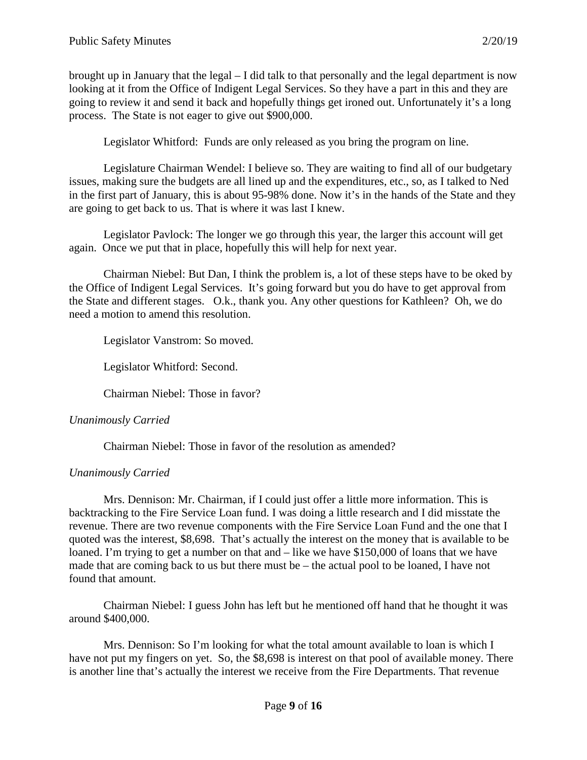brought up in January that the legal – I did talk to that personally and the legal department is now looking at it from the Office of Indigent Legal Services. So they have a part in this and they are going to review it and send it back and hopefully things get ironed out. Unfortunately it's a long process. The State is not eager to give out \$900,000.

Legislator Whitford: Funds are only released as you bring the program on line.

Legislature Chairman Wendel: I believe so. They are waiting to find all of our budgetary issues, making sure the budgets are all lined up and the expenditures, etc., so, as I talked to Ned in the first part of January, this is about 95-98% done. Now it's in the hands of the State and they are going to get back to us. That is where it was last I knew.

Legislator Pavlock: The longer we go through this year, the larger this account will get again. Once we put that in place, hopefully this will help for next year.

Chairman Niebel: But Dan, I think the problem is, a lot of these steps have to be oked by the Office of Indigent Legal Services. It's going forward but you do have to get approval from the State and different stages. O.k., thank you. Any other questions for Kathleen? Oh, we do need a motion to amend this resolution.

Legislator Vanstrom: So moved.

Legislator Whitford: Second.

Chairman Niebel: Those in favor?

## *Unanimously Carried*

Chairman Niebel: Those in favor of the resolution as amended?

## *Unanimously Carried*

Mrs. Dennison: Mr. Chairman, if I could just offer a little more information. This is backtracking to the Fire Service Loan fund. I was doing a little research and I did misstate the revenue. There are two revenue components with the Fire Service Loan Fund and the one that I quoted was the interest, \$8,698. That's actually the interest on the money that is available to be loaned. I'm trying to get a number on that and – like we have \$150,000 of loans that we have made that are coming back to us but there must be – the actual pool to be loaned, I have not found that amount.

Chairman Niebel: I guess John has left but he mentioned off hand that he thought it was around \$400,000.

Mrs. Dennison: So I'm looking for what the total amount available to loan is which I have not put my fingers on yet. So, the \$8,698 is interest on that pool of available money. There is another line that's actually the interest we receive from the Fire Departments. That revenue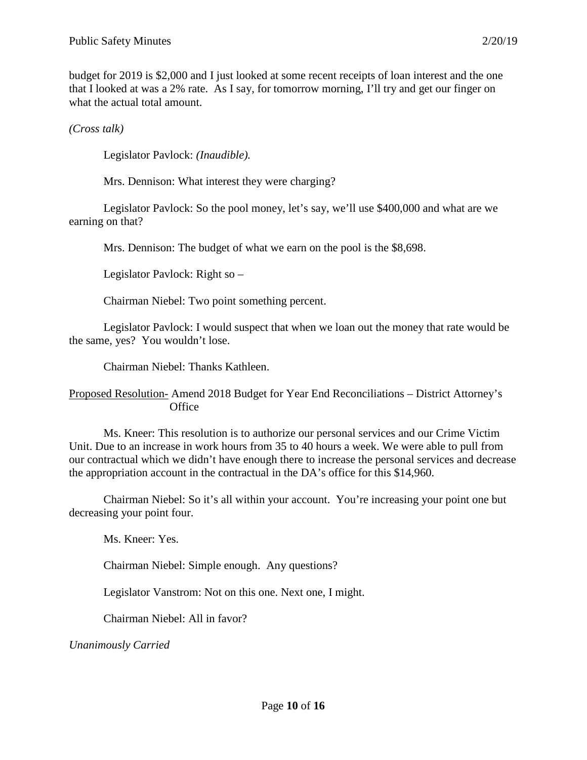budget for 2019 is \$2,000 and I just looked at some recent receipts of loan interest and the one that I looked at was a 2% rate. As I say, for tomorrow morning, I'll try and get our finger on what the actual total amount.

*(Cross talk)*

Legislator Pavlock: *(Inaudible).*

Mrs. Dennison: What interest they were charging?

Legislator Pavlock: So the pool money, let's say, we'll use \$400,000 and what are we earning on that?

Mrs. Dennison: The budget of what we earn on the pool is the \$8,698.

Legislator Pavlock: Right so –

Chairman Niebel: Two point something percent.

Legislator Pavlock: I would suspect that when we loan out the money that rate would be the same, yes? You wouldn't lose.

Chairman Niebel: Thanks Kathleen.

### Proposed Resolution- Amend 2018 Budget for Year End Reconciliations – District Attorney's **Office**

Ms. Kneer: This resolution is to authorize our personal services and our Crime Victim Unit. Due to an increase in work hours from 35 to 40 hours a week. We were able to pull from our contractual which we didn't have enough there to increase the personal services and decrease the appropriation account in the contractual in the DA's office for this \$14,960.

Chairman Niebel: So it's all within your account. You're increasing your point one but decreasing your point four.

Ms. Kneer: Yes.

Chairman Niebel: Simple enough. Any questions?

Legislator Vanstrom: Not on this one. Next one, I might.

Chairman Niebel: All in favor?

*Unanimously Carried*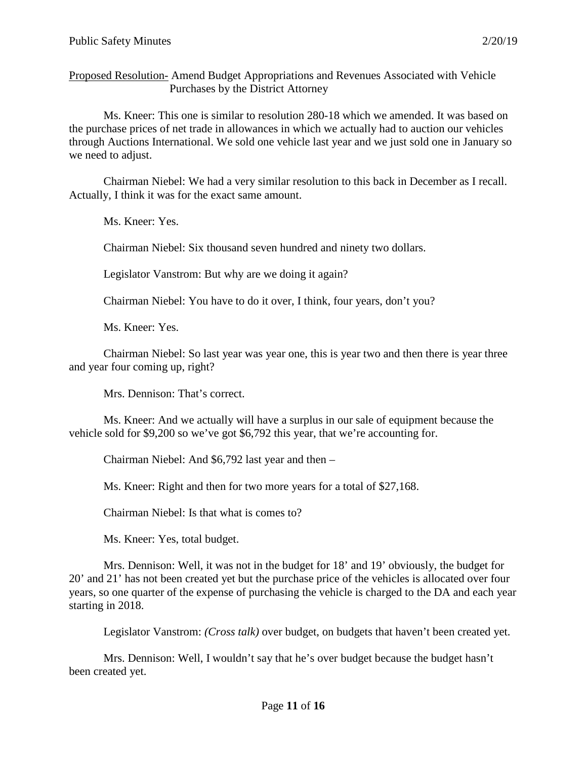Proposed Resolution- Amend Budget Appropriations and Revenues Associated with Vehicle Purchases by the District Attorney

Ms. Kneer: This one is similar to resolution 280-18 which we amended. It was based on the purchase prices of net trade in allowances in which we actually had to auction our vehicles through Auctions International. We sold one vehicle last year and we just sold one in January so we need to adjust.

Chairman Niebel: We had a very similar resolution to this back in December as I recall. Actually, I think it was for the exact same amount.

Ms. Kneer: Yes.

Chairman Niebel: Six thousand seven hundred and ninety two dollars.

Legislator Vanstrom: But why are we doing it again?

Chairman Niebel: You have to do it over, I think, four years, don't you?

Ms. Kneer: Yes.

Chairman Niebel: So last year was year one, this is year two and then there is year three and year four coming up, right?

Mrs. Dennison: That's correct.

Ms. Kneer: And we actually will have a surplus in our sale of equipment because the vehicle sold for \$9,200 so we've got \$6,792 this year, that we're accounting for.

Chairman Niebel: And \$6,792 last year and then –

Ms. Kneer: Right and then for two more years for a total of \$27,168.

Chairman Niebel: Is that what is comes to?

Ms. Kneer: Yes, total budget.

Mrs. Dennison: Well, it was not in the budget for 18' and 19' obviously, the budget for 20' and 21' has not been created yet but the purchase price of the vehicles is allocated over four years, so one quarter of the expense of purchasing the vehicle is charged to the DA and each year starting in 2018.

Legislator Vanstrom: *(Cross talk)* over budget, on budgets that haven't been created yet.

Mrs. Dennison: Well, I wouldn't say that he's over budget because the budget hasn't been created yet.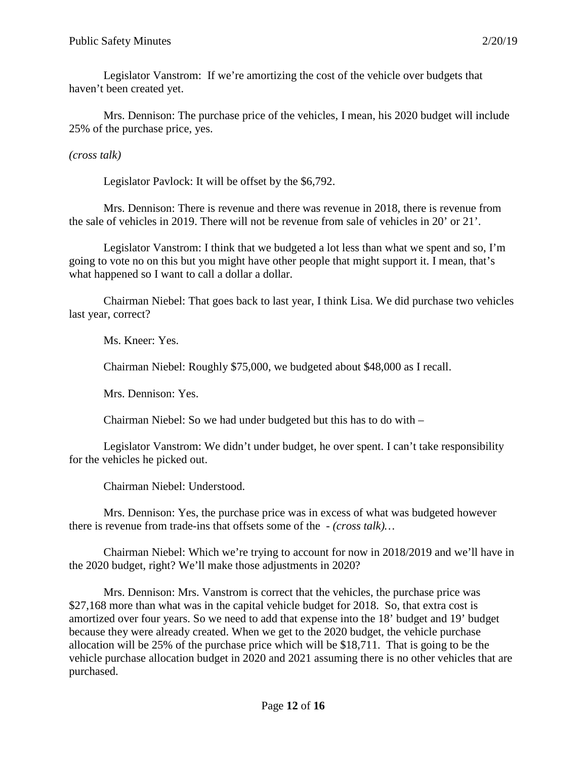Legislator Vanstrom: If we're amortizing the cost of the vehicle over budgets that haven't been created yet.

Mrs. Dennison: The purchase price of the vehicles, I mean, his 2020 budget will include 25% of the purchase price, yes.

*(cross talk)*

Legislator Pavlock: It will be offset by the \$6,792.

Mrs. Dennison: There is revenue and there was revenue in 2018, there is revenue from the sale of vehicles in 2019. There will not be revenue from sale of vehicles in 20' or 21'.

Legislator Vanstrom: I think that we budgeted a lot less than what we spent and so, I'm going to vote no on this but you might have other people that might support it. I mean, that's what happened so I want to call a dollar a dollar.

Chairman Niebel: That goes back to last year, I think Lisa. We did purchase two vehicles last year, correct?

Ms. Kneer: Yes.

Chairman Niebel: Roughly \$75,000, we budgeted about \$48,000 as I recall.

Mrs. Dennison: Yes.

Chairman Niebel: So we had under budgeted but this has to do with –

Legislator Vanstrom: We didn't under budget, he over spent. I can't take responsibility for the vehicles he picked out.

Chairman Niebel: Understood.

Mrs. Dennison: Yes, the purchase price was in excess of what was budgeted however there is revenue from trade-ins that offsets some of the - *(cross talk)…*

Chairman Niebel: Which we're trying to account for now in 2018/2019 and we'll have in the 2020 budget, right? We'll make those adjustments in 2020?

Mrs. Dennison: Mrs. Vanstrom is correct that the vehicles, the purchase price was \$27,168 more than what was in the capital vehicle budget for 2018. So, that extra cost is amortized over four years. So we need to add that expense into the 18' budget and 19' budget because they were already created. When we get to the 2020 budget, the vehicle purchase allocation will be 25% of the purchase price which will be \$18,711. That is going to be the vehicle purchase allocation budget in 2020 and 2021 assuming there is no other vehicles that are purchased.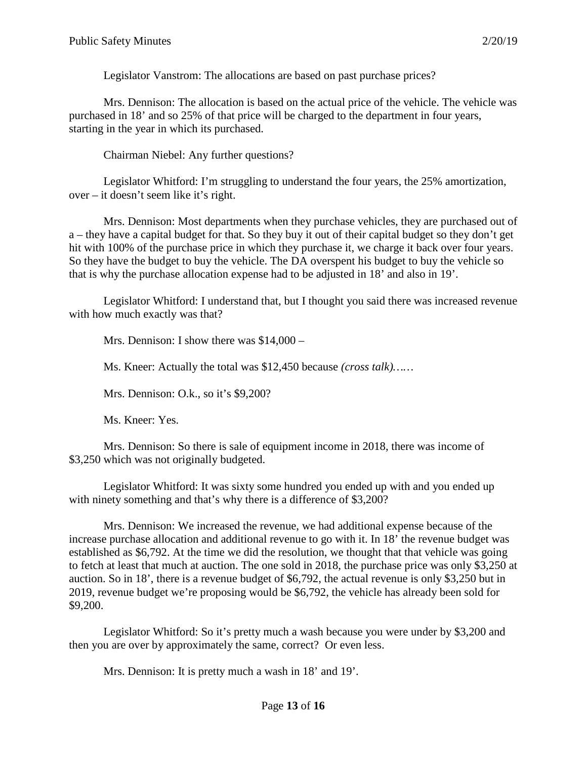Legislator Vanstrom: The allocations are based on past purchase prices?

Mrs. Dennison: The allocation is based on the actual price of the vehicle. The vehicle was purchased in 18' and so 25% of that price will be charged to the department in four years, starting in the year in which its purchased.

Chairman Niebel: Any further questions?

Legislator Whitford: I'm struggling to understand the four years, the 25% amortization, over – it doesn't seem like it's right.

Mrs. Dennison: Most departments when they purchase vehicles, they are purchased out of a – they have a capital budget for that. So they buy it out of their capital budget so they don't get hit with 100% of the purchase price in which they purchase it, we charge it back over four years. So they have the budget to buy the vehicle. The DA overspent his budget to buy the vehicle so that is why the purchase allocation expense had to be adjusted in 18' and also in 19'.

Legislator Whitford: I understand that, but I thought you said there was increased revenue with how much exactly was that?

Mrs. Dennison: I show there was \$14,000 –

Ms. Kneer: Actually the total was \$12,450 because *(cross talk)……*

Mrs. Dennison: O.k., so it's \$9,200?

Ms. Kneer: Yes.

Mrs. Dennison: So there is sale of equipment income in 2018, there was income of \$3,250 which was not originally budgeted.

Legislator Whitford: It was sixty some hundred you ended up with and you ended up with ninety something and that's why there is a difference of \$3,200?

Mrs. Dennison: We increased the revenue, we had additional expense because of the increase purchase allocation and additional revenue to go with it. In 18' the revenue budget was established as \$6,792. At the time we did the resolution, we thought that that vehicle was going to fetch at least that much at auction. The one sold in 2018, the purchase price was only \$3,250 at auction. So in 18', there is a revenue budget of \$6,792, the actual revenue is only \$3,250 but in 2019, revenue budget we're proposing would be \$6,792, the vehicle has already been sold for \$9,200.

Legislator Whitford: So it's pretty much a wash because you were under by \$3,200 and then you are over by approximately the same, correct? Or even less.

Mrs. Dennison: It is pretty much a wash in 18' and 19'.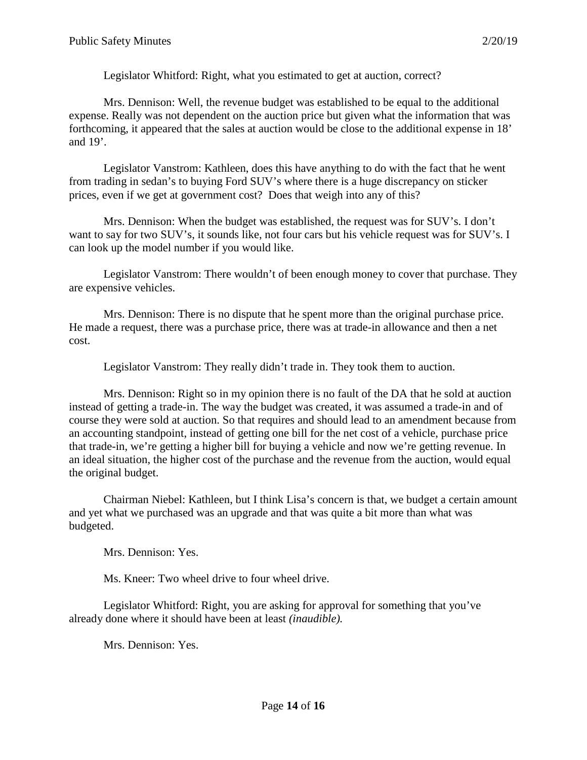Legislator Whitford: Right, what you estimated to get at auction, correct?

Mrs. Dennison: Well, the revenue budget was established to be equal to the additional expense. Really was not dependent on the auction price but given what the information that was forthcoming, it appeared that the sales at auction would be close to the additional expense in 18' and 19'.

Legislator Vanstrom: Kathleen, does this have anything to do with the fact that he went from trading in sedan's to buying Ford SUV's where there is a huge discrepancy on sticker prices, even if we get at government cost? Does that weigh into any of this?

Mrs. Dennison: When the budget was established, the request was for SUV's. I don't want to say for two SUV's, it sounds like, not four cars but his vehicle request was for SUV's. I can look up the model number if you would like.

Legislator Vanstrom: There wouldn't of been enough money to cover that purchase. They are expensive vehicles.

Mrs. Dennison: There is no dispute that he spent more than the original purchase price. He made a request, there was a purchase price, there was at trade-in allowance and then a net cost.

Legislator Vanstrom: They really didn't trade in. They took them to auction.

Mrs. Dennison: Right so in my opinion there is no fault of the DA that he sold at auction instead of getting a trade-in. The way the budget was created, it was assumed a trade-in and of course they were sold at auction. So that requires and should lead to an amendment because from an accounting standpoint, instead of getting one bill for the net cost of a vehicle, purchase price that trade-in, we're getting a higher bill for buying a vehicle and now we're getting revenue. In an ideal situation, the higher cost of the purchase and the revenue from the auction, would equal the original budget.

Chairman Niebel: Kathleen, but I think Lisa's concern is that, we budget a certain amount and yet what we purchased was an upgrade and that was quite a bit more than what was budgeted.

Mrs. Dennison: Yes.

Ms. Kneer: Two wheel drive to four wheel drive.

Legislator Whitford: Right, you are asking for approval for something that you've already done where it should have been at least *(inaudible).*

Mrs. Dennison: Yes.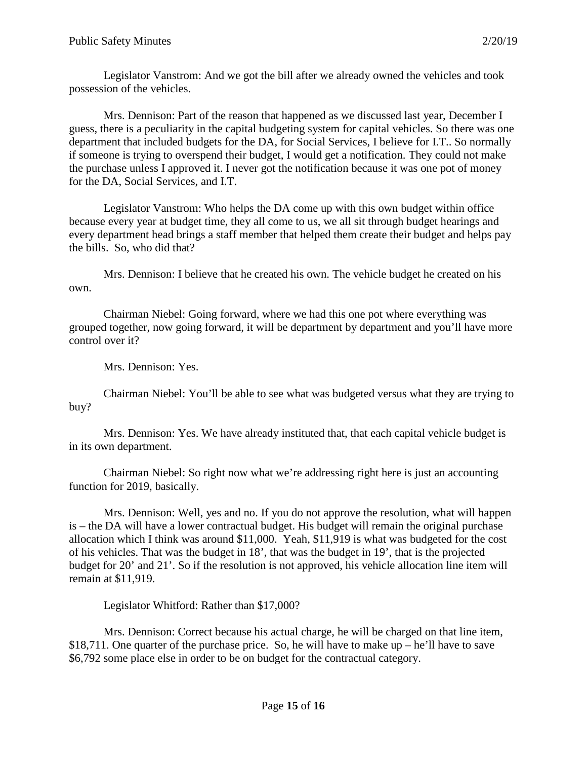Legislator Vanstrom: And we got the bill after we already owned the vehicles and took possession of the vehicles.

Mrs. Dennison: Part of the reason that happened as we discussed last year, December I guess, there is a peculiarity in the capital budgeting system for capital vehicles. So there was one department that included budgets for the DA, for Social Services, I believe for I.T.. So normally if someone is trying to overspend their budget, I would get a notification. They could not make the purchase unless I approved it. I never got the notification because it was one pot of money for the DA, Social Services, and I.T.

Legislator Vanstrom: Who helps the DA come up with this own budget within office because every year at budget time, they all come to us, we all sit through budget hearings and every department head brings a staff member that helped them create their budget and helps pay the bills. So, who did that?

Mrs. Dennison: I believe that he created his own. The vehicle budget he created on his own.

Chairman Niebel: Going forward, where we had this one pot where everything was grouped together, now going forward, it will be department by department and you'll have more control over it?

Mrs. Dennison: Yes.

Chairman Niebel: You'll be able to see what was budgeted versus what they are trying to buy?

Mrs. Dennison: Yes. We have already instituted that, that each capital vehicle budget is in its own department.

Chairman Niebel: So right now what we're addressing right here is just an accounting function for 2019, basically.

Mrs. Dennison: Well, yes and no. If you do not approve the resolution, what will happen is – the DA will have a lower contractual budget. His budget will remain the original purchase allocation which I think was around \$11,000. Yeah, \$11,919 is what was budgeted for the cost of his vehicles. That was the budget in 18', that was the budget in 19', that is the projected budget for 20' and 21'. So if the resolution is not approved, his vehicle allocation line item will remain at \$11,919.

Legislator Whitford: Rather than \$17,000?

Mrs. Dennison: Correct because his actual charge, he will be charged on that line item, \$18,711. One quarter of the purchase price. So, he will have to make up – he'll have to save \$6,792 some place else in order to be on budget for the contractual category.